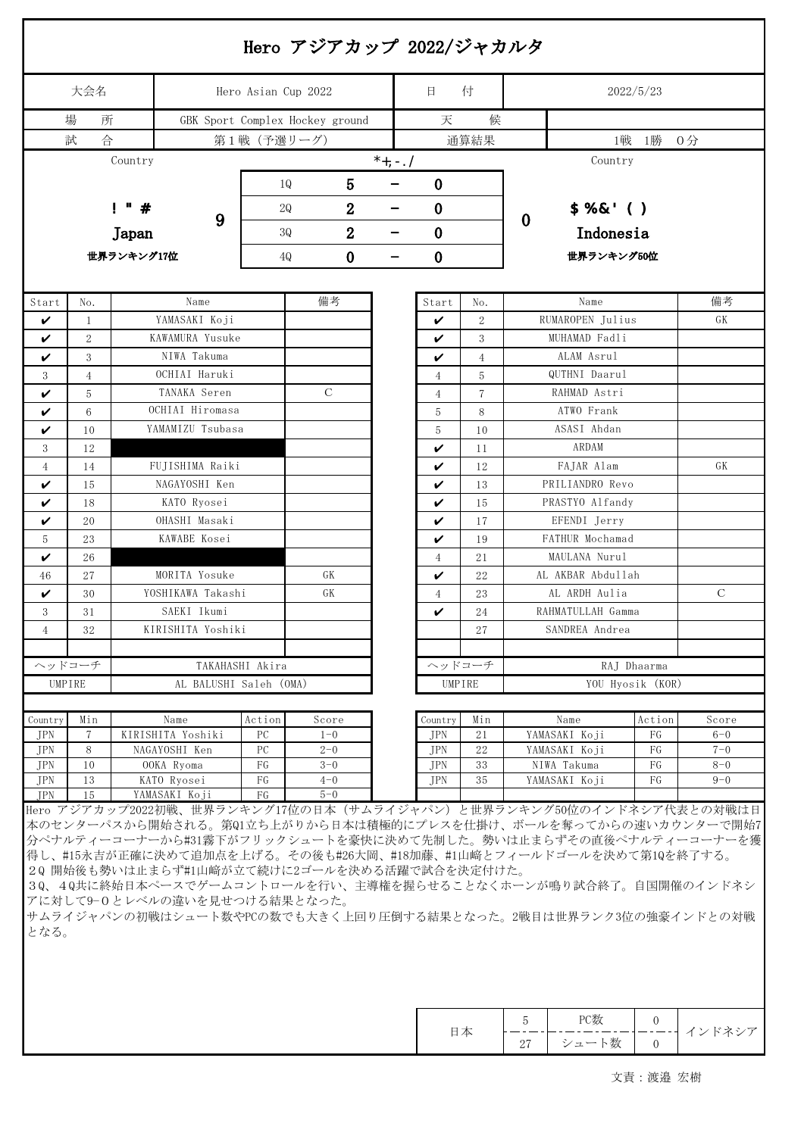| 大会名                                                 |                        |                                                                              |                 | Hero Asian Cup 2022    |                    |                         | 日                    | 付                         |                                                                                                                                                                                                                                                                                                                                                                                                                   | 2022/5/23    |                    |  |  |  |
|-----------------------------------------------------|------------------------|------------------------------------------------------------------------------|-----------------|------------------------|--------------------|-------------------------|----------------------|---------------------------|-------------------------------------------------------------------------------------------------------------------------------------------------------------------------------------------------------------------------------------------------------------------------------------------------------------------------------------------------------------------------------------------------------------------|--------------|--------------------|--|--|--|
| 場<br>所<br>GBK Sport Complex Hockey ground<br>試<br>合 |                        |                                                                              |                 |                        |                    |                         | 天                    | 候                         |                                                                                                                                                                                                                                                                                                                                                                                                                   |              |                    |  |  |  |
|                                                     |                        |                                                                              |                 |                        |                    |                         |                      | 通算結果                      |                                                                                                                                                                                                                                                                                                                                                                                                                   |              |                    |  |  |  |
|                                                     |                        | Country                                                                      |                 |                        |                    | $*$ <sub>+, -</sub> , / |                      |                           | Country                                                                                                                                                                                                                                                                                                                                                                                                           |              |                    |  |  |  |
|                                                     |                        |                                                                              |                 | 10                     | 5                  |                         | $\boldsymbol{0}$     |                           |                                                                                                                                                                                                                                                                                                                                                                                                                   |              |                    |  |  |  |
|                                                     | $\mathbf{I}$<br>#<br>9 |                                                                              |                 |                        |                    |                         |                      |                           |                                                                                                                                                                                                                                                                                                                                                                                                                   |              |                    |  |  |  |
|                                                     |                        |                                                                              |                 | 2Q                     | $\overline{2}$     |                         | $\bf{0}$<br>$\bf{0}$ |                           | $$%8'$ ()<br>$\mathbf 0$                                                                                                                                                                                                                                                                                                                                                                                          |              |                    |  |  |  |
| Japan<br>世界ランキング17位                                 |                        |                                                                              |                 | $\overline{2}$<br>30   |                    |                         |                      | Indonesia                 |                                                                                                                                                                                                                                                                                                                                                                                                                   |              |                    |  |  |  |
|                                                     |                        |                                                                              |                 | $\bf{0}$<br>4Q<br>-    |                    |                         |                      | 世界ランキング50位                |                                                                                                                                                                                                                                                                                                                                                                                                                   |              |                    |  |  |  |
|                                                     |                        |                                                                              |                 |                        |                    |                         |                      |                           |                                                                                                                                                                                                                                                                                                                                                                                                                   |              |                    |  |  |  |
| Start                                               | No.                    |                                                                              | Name            |                        | 備考                 |                         | Start                | No.                       | Name                                                                                                                                                                                                                                                                                                                                                                                                              |              | 備考                 |  |  |  |
| V                                                   | 1                      | YAMASAKI Koji                                                                |                 |                        |                    |                         | V                    | $\overline{2}$            | RUMAROPEN Julius                                                                                                                                                                                                                                                                                                                                                                                                  |              | GK                 |  |  |  |
| ✓                                                   | 2                      | KAWAMURA Yusuke                                                              |                 |                        |                    |                         | V                    | 3                         | MUHAMAD Fadli                                                                                                                                                                                                                                                                                                                                                                                                     |              |                    |  |  |  |
| V                                                   | 3                      | NIWA Takuma                                                                  |                 |                        |                    |                         | V                    | 4                         | ALAM Asrul                                                                                                                                                                                                                                                                                                                                                                                                        |              |                    |  |  |  |
| 3                                                   | $\overline{4}$         | OCHIAI Haruki                                                                |                 |                        |                    | 4                       | 5                    | QUTHNI Daarul             |                                                                                                                                                                                                                                                                                                                                                                                                                   |              |                    |  |  |  |
| V                                                   | 5                      | TANAKA Seren<br>OCHIAI Hiromasa                                              |                 | $\mathcal{C}$          |                    | 4                       | 7                    | RAHMAD Astri              |                                                                                                                                                                                                                                                                                                                                                                                                                   |              |                    |  |  |  |
| V                                                   | $6\phantom{.}6$        | YAMAMIZU Tsubasa                                                             |                 |                        |                    | 5                       | 8                    | ATWO Frank<br>ASASI Ahdan |                                                                                                                                                                                                                                                                                                                                                                                                                   |              |                    |  |  |  |
| V<br>3                                              | 10<br>12               | NAGAI Yuma                                                                   |                 |                        |                    |                         | 5<br>V               | 10<br>11                  | ARDAM                                                                                                                                                                                                                                                                                                                                                                                                             |              |                    |  |  |  |
| 4                                                   | 14                     | FUJISHIMA Raiki                                                              |                 |                        |                    |                         | V                    | 12                        | FAJAR Alam                                                                                                                                                                                                                                                                                                                                                                                                        |              | GK                 |  |  |  |
| V                                                   | 15                     | NAGAYOSHI Ken                                                                |                 |                        |                    |                         | V                    | 13                        | PRILIANDRO Revo                                                                                                                                                                                                                                                                                                                                                                                                   |              |                    |  |  |  |
| V                                                   | 18                     | KATO Ryosei                                                                  |                 |                        |                    |                         | V                    | 15                        | PRASTYO Alfandy                                                                                                                                                                                                                                                                                                                                                                                                   |              |                    |  |  |  |
| V                                                   | 20                     | OHASHI Masaki                                                                |                 |                        |                    |                         | V                    | 17                        | EFENDI Jerry                                                                                                                                                                                                                                                                                                                                                                                                      |              |                    |  |  |  |
| 5                                                   | 23                     | KAWABE Kosei                                                                 |                 |                        |                    |                         | V                    | 19                        | FATHUR Mochamad                                                                                                                                                                                                                                                                                                                                                                                                   |              |                    |  |  |  |
| V                                                   | 26                     | OOKA Ryoma                                                                   |                 |                        |                    |                         | $\overline{4}$       | 21                        | MAULANA Nurul                                                                                                                                                                                                                                                                                                                                                                                                     |              |                    |  |  |  |
| 46                                                  | 27                     | MORITA Yosuke                                                                |                 | GK                     |                    | V                       | 22                   | AL AKBAR Abdullah         |                                                                                                                                                                                                                                                                                                                                                                                                                   |              |                    |  |  |  |
| V                                                   | 30                     | YOSHIKAWA Takashi                                                            |                 | GK                     |                    | $\overline{4}$          | 23                   | AL ARDH Aulia             |                                                                                                                                                                                                                                                                                                                                                                                                                   | $\mathsf{C}$ |                    |  |  |  |
| 3                                                   | 31                     | SAEKI Ikumi                                                                  |                 |                        |                    | V                       | 24                   | RAHMATULLAH Gamma         |                                                                                                                                                                                                                                                                                                                                                                                                                   |              |                    |  |  |  |
| 4                                                   | 32                     | KIRISHITA Yoshiki                                                            |                 |                        |                    |                         |                      | 27                        | SANDREA Andrea                                                                                                                                                                                                                                                                                                                                                                                                    |              |                    |  |  |  |
|                                                     |                        |                                                                              |                 |                        |                    |                         |                      |                           |                                                                                                                                                                                                                                                                                                                                                                                                                   |              |                    |  |  |  |
| ヘッドコーチ                                              |                        |                                                                              | TAKAHASHI Akira |                        |                    |                         |                      | ヘッドコーチ                    | RAJ Dhaarma<br>YOU Hyosik (KOR)                                                                                                                                                                                                                                                                                                                                                                                   |              |                    |  |  |  |
| UMPIRE                                              |                        |                                                                              |                 | AL BALUSHI Saleh (OMA) |                    |                         | UMPIRE               |                           |                                                                                                                                                                                                                                                                                                                                                                                                                   |              |                    |  |  |  |
| Country                                             | Min                    | Name                                                                         |                 | Action                 | Score              |                         | Country              | Min                       | Name                                                                                                                                                                                                                                                                                                                                                                                                              | Action       | Score              |  |  |  |
| JPN                                                 | $\tau$                 | KIRISHITA Yoshiki                                                            |                 | PC                     | $1 - 0$            |                         | JPN                  | 21                        | YAMASAKI Koji                                                                                                                                                                                                                                                                                                                                                                                                     | FG           | $6 - 0$            |  |  |  |
| JPN<br>JPN                                          | 8<br>10                | NAGAYOSHI Ken<br>OOKA Ryoma                                                  |                 | PC<br>FG               | $2 - 0$<br>$3 - 0$ |                         | <b>JPN</b><br>JPN    | 22<br>33                  | YAMASAKI Koji<br>NIWA Takuma                                                                                                                                                                                                                                                                                                                                                                                      | FG<br>FG     | $7 - 0$<br>$8 - 0$ |  |  |  |
| <b>JPN</b>                                          | 13                     | KATO Ryosei                                                                  |                 | FG                     | $4 - 0$            |                         | <b>JPN</b>           | 35                        | YAMASAKI Koji                                                                                                                                                                                                                                                                                                                                                                                                     | FG           | $9 - 0$            |  |  |  |
| <b>JPN</b>                                          | 15                     | YAMASAKI Koji                                                                |                 | FG                     | $5 - 0$            |                         |                      |                           |                                                                                                                                                                                                                                                                                                                                                                                                                   |              |                    |  |  |  |
|                                                     |                        | 20 開始後も勢いは止まらず#1山﨑が立て続けに2ゴールを決める活躍で試合を決定付けた。<br>アに対して9-0とレベルの違いを見せつける結果となった。 |                 |                        |                    |                         |                      |                           | Hero アジアカップ2022初戦、世界ランキング17位の日本 (サムライジャパン) と世界ランキング50位のインドネシア代表との対戦は日<br>本のセンターパスから開始される。第Q1立ち上がりから日本は積極的にプレスを仕掛け、ボールを奪ってからの速いカウンターで開始7<br>分ペナルティーコーナーから#31霧下がフリックシュートを豪快に決めて先制した。勢いは止まらずその直後ペナルティーコーナーを獲<br>得し、#15永吉が正確に決めて追加点を上げる。その後も#26大岡、#18加藤、#1山﨑とフィールドゴールを決めて第1Qを終了する。<br>30、40共に終始日本ペースでゲームコントロールを行い、主導権を握らせることなくホーンが鳴り試合終了。自国開催のインドネシ<br>サムライジャパンの初戦はシュート数やPCの数でも大きく上回り圧倒する結果となった。2戦目は世界ランク3位の強豪インドとの対戦 |              |                    |  |  |  |